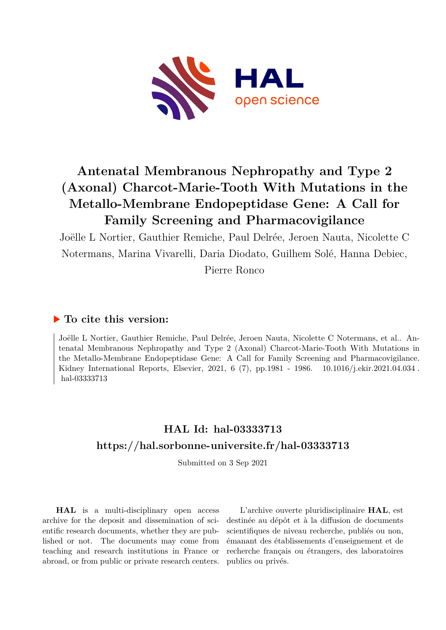

# **Antenatal Membranous Nephropathy and Type 2 (Axonal) Charcot-Marie-Tooth With Mutations in the Metallo-Membrane Endopeptidase Gene: A Call for Family Screening and Pharmacovigilance**

Joëlle L Nortier, Gauthier Remiche, Paul Delrée, Jeroen Nauta, Nicolette C Notermans, Marina Vivarelli, Daria Diodato, Guilhem Solé, Hanna Debiec, Pierre Ronco

# **To cite this version:**

Joëlle L Nortier, Gauthier Remiche, Paul Delrée, Jeroen Nauta, Nicolette C Notermans, et al.. Antenatal Membranous Nephropathy and Type 2 (Axonal) Charcot-Marie-Tooth With Mutations in the Metallo-Membrane Endopeptidase Gene: A Call for Family Screening and Pharmacovigilance. Kidney International Reports, Elsevier, 2021, 6 (7), pp. 1981 - 1986.  $10.1016$ /j.ekir.2021.04.034. hal-03333713

# **HAL Id: hal-03333713 <https://hal.sorbonne-universite.fr/hal-03333713>**

Submitted on 3 Sep 2021

**HAL** is a multi-disciplinary open access archive for the deposit and dissemination of scientific research documents, whether they are published or not. The documents may come from teaching and research institutions in France or abroad, or from public or private research centers.

L'archive ouverte pluridisciplinaire **HAL**, est destinée au dépôt et à la diffusion de documents scientifiques de niveau recherche, publiés ou non, émanant des établissements d'enseignement et de recherche français ou étrangers, des laboratoires publics ou privés.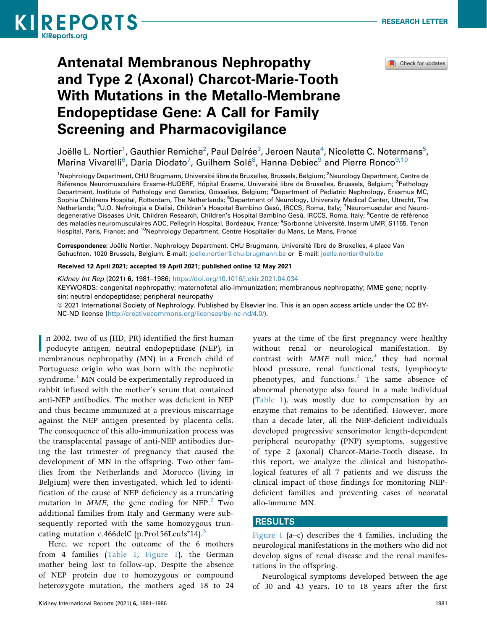



# Antenatal Membranous Nephropathy and Type 2 (Axonal) Charcot-Marie-Tooth With Mutations in the Metallo-Membrane Endopeptidase Gene: A Call for Family Screening and Pharmacovigilance

Joëlle L. Nortier $^1$ , Gauthier Remiche $^2$ , Paul Delrée $^3$ , Jeroen Nauta $^4$ , Nicolette C. Notermans $^5$ , Marina Vivarelli<sup>6</sup>, Daria Diodato<sup>7</sup>, Guilhem Solé<sup>8</sup>, Hanna Debiec<sup>9</sup> and Pierre Ronco<sup>9,10</sup>

<sup>1</sup>Nephrology Department, CHU Brugmann, Université libre de Bruxelles, Brussels, Belgium; <sup>2</sup>Neurology Department, Centre de Référence Neuromusculaire Erasme-HUDERF, Hôpital Erasme, Université libre de Bruxelles, Brussels, Belgium; <sup>3</sup>Pathology Department, Institute of Pathology and Genetics, Gosselies, Belgium; <sup>4</sup>Department of Pediatric Nephrology, Erasmus MC, Sophia Childrens Hospital, Rotterdam, The Netherlands; <sup>5</sup>Department of Neurology, University Medical Center, Utrecht, The Netherlands; <sup>6</sup>U.O. Nefrologia e Dialisi, Children's Hospital Bambino Gesù, IRCCS, Roma, Italy; <sup>7</sup>Neuromuscular and Neurodegenerative Diseases Unit, Children Research, Children's Hospital Bambino Gesù, IRCCS, Roma, Italy; <sup>8</sup>Centre de référence des maladies neuromusculaires AOC, Pellegrin Hospital, Bordeaux, France; <sup>9</sup>Sorbonne Université, Inserm UMR\_S1155, Tenon Hospital, Paris, France; and <sup>10</sup>Nephrology Department, Centre Hospitalier du Mans, Le Mans, France

Correspondence: Joëlle Nortier, Nephrology Department, CHU Brugmann, Université libre de Bruxelles, 4 place Van Gehuchten, 1020 Brussels, Belgium. E-mail: [joelle.nortier@chu-brugmann.be](mailto:joelle.nortier@chu-brugmann.be) or E-mail: [joelle.nortier@ulb.be](mailto:joelle.nortier@ulb.be)

#### Received 12 April 2021; accepted 19 April 2021; published online 12 May 2021

Kidney Int Rep (2021) 6, 1981–1986; <https://doi.org/10.1016/j.ekir.2021.04.034> KEYWORDS: congenital nephropathy; maternofetal allo-immunization; membranous nephropathy; MME gene; neprilysin; neutral endopeptidase; peripheral neuropathy ª 2021 International Society of Nephrology. Published by Elsevier Inc. This is an open access article under the CC BY-

NC-ND license [\(http://creativecommons.org/licenses/by-nc-nd/4.0/](http://creativecommons.org/licenses/by-nc-nd/4.0/)).

**I** n 2002, two of us (HD, PR) identified the first human podocyte antigen, neutral endopeptidase (NEP), in membranous nephropathy (MN) in a French child of Portuguese origin who was born with the nephrotic syndrome.<sup>1</sup> MN could be experimentally reproduced in rabbit infused with the mother's serum that contained anti-NEP antibodies. The mother was deficient in NEP and thus became immunized at a previous miscarriage against the NEP antigen presented by placenta cells. The consequence of this allo-immunization process was the transplacental passage of anti-NEP antibodies during the last trimester of pregnancy that caused the development of MN in the offspring. Two other families from the Netherlands and Morocco (living in Belgium) were then investigated, which led to identification of the cause of NEP deficiency as a truncating mutation in  $MME$ , the gene coding for NEP.<sup>2</sup> Two additional families from Italy and Germany were subsequently reported with the same homozygous truncating mutation c.466delC (p.Pro156Leufs\*14).<sup>3</sup>

Here, we report the outcome of the 6 mothers from 4 families (Table 1, Figure 1), the German mother being lost to follow-up. Despite the absence of NEP protein due to homozygous or compound heterozygote mutation, the mothers aged 18 to 24 years at the time of the first pregnancy were healthy without renal or neurological manifestation. By contrast with  $MME$  null mice,<sup>4</sup> they had normal blood pressure, renal functional tests, lymphocyte phenotypes, and functions. $^{2}$  The same absence of abnormal phenotype also found in a male individual (Table 1), was mostly due to compensation by an enzyme that remains to be identified. However, more than a decade later, all the NEP-deficient individuals developed progressive sensorimotor length-dependent peripheral neuropathy (PNP) symptoms, suggestive of type 2 (axonal) Charcot-Marie-Tooth disease. In this report, we analyze the clinical and histopathological features of all 7 patients and we discuss the clinical impact of those findings for monitoring NEPdeficient families and preventing cases of neonatal allo-immune MN.

#### RESULTS

Figure 1 (a–c) describes the 4 families, including the neurological manifestations in the mothers who did not develop signs of renal disease and the renal manifestations in the offspring.

Neurological symptoms developed between the age of 30 and 43 years, 10 to 18 years after the first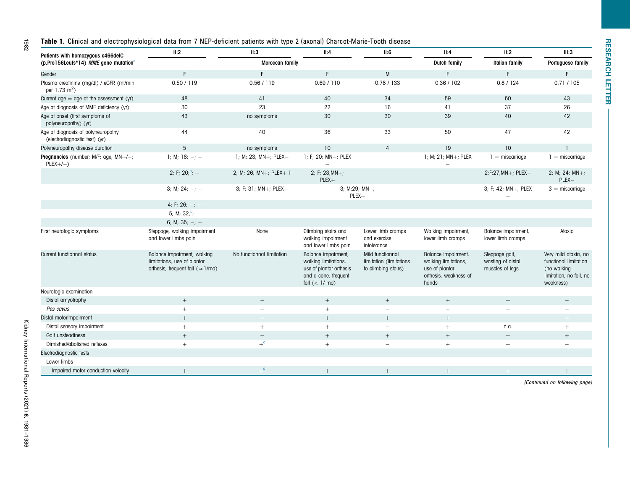#### Table 1. Clinical and electrophysiological data from 7 NEP-deficient patients with type 2 (axonal) Charcot-Marie-Tooth disease

| Patients with homozygous c466delC                                   | II:2                                                                                                    | II:3                      | II:4                                                                                                               | II:6                                                               | II:4                                                                                            | II:2                                                   | III:3                                                                                                |
|---------------------------------------------------------------------|---------------------------------------------------------------------------------------------------------|---------------------------|--------------------------------------------------------------------------------------------------------------------|--------------------------------------------------------------------|-------------------------------------------------------------------------------------------------|--------------------------------------------------------|------------------------------------------------------------------------------------------------------|
| (p.Pro156Leufs*14) MME gene mutation <sup>a</sup>                   |                                                                                                         | Moroccan family           |                                                                                                                    |                                                                    | Dutch family                                                                                    | <b>Italian family</b>                                  | Portuguese family                                                                                    |
| Gender                                                              | F                                                                                                       | F                         | F                                                                                                                  | M                                                                  |                                                                                                 | F                                                      | F                                                                                                    |
| Plasma creatinine (mg/dl) / eGFR (ml/min<br>per 1.73 $m^2$ )        | 0.50 / 119                                                                                              | 0.56 / 119                | 0.69 / 110                                                                                                         | 0.78 / 133                                                         | 0.36 / 102                                                                                      | 0.8 / 124                                              | 0.71 / 105                                                                                           |
| Current $age = age$ at the assessment (yr)                          | 48                                                                                                      | 41                        | 40                                                                                                                 | 34                                                                 | 59                                                                                              | 50                                                     | 43                                                                                                   |
| Age at diagnosis of MME deficiency (yr)                             | 30                                                                                                      | 23                        | 22                                                                                                                 | 16                                                                 | 41                                                                                              | 37                                                     | 26                                                                                                   |
| Age at onset (first symptoms of<br>polyneuropathy) (yr)             | 43                                                                                                      | no symptoms               | 30                                                                                                                 | 30                                                                 | 39                                                                                              | 40                                                     | 42                                                                                                   |
| Age at diagnosis of polyneuropathy<br>(electrodiagnostic test) (yr) | 44                                                                                                      | 40                        | 36                                                                                                                 | 33                                                                 | 50                                                                                              | 47                                                     | 42                                                                                                   |
| Polyneuropathy disease duration                                     | 5                                                                                                       | no symptoms               | 10 <sup>°</sup>                                                                                                    | $\overline{4}$                                                     | 19                                                                                              | 10                                                     |                                                                                                      |
| Pregnancies (number; M/F; age; MN+/-;<br>$PLEX+/-$ )                | 1; M; 18; $-$ ; $-$                                                                                     | 1; M; 23; MN+; PLEX-      | 1; F; 20; MN-; PLEX                                                                                                |                                                                    | 1; M; 21; MN+; PLEX                                                                             | $1 =$ miscarriage                                      | $1 =$ miscarriage                                                                                    |
|                                                                     | 2; F; 20; $b_i =$                                                                                       | 2; M; 26; MN+; PLEX+ +    | 2; F; $23;MN+$ ;<br>$PLEX +$                                                                                       |                                                                    |                                                                                                 | 2;F;27;MN+; PLEX-                                      | 2; M; 24; $MN+$ ;<br>PLEX-                                                                           |
|                                                                     | 3; M; 24; $-$ ; $-$                                                                                     | 3; F; 31; MN+; PLEX-      |                                                                                                                    | $3; M;29; MN+;$<br>$PLEX +$                                        |                                                                                                 | 3; F; 42; MN+, PLEX                                    | $3 =$ miscarriage                                                                                    |
|                                                                     | 4; F; 26; $-$ ; $-$                                                                                     |                           |                                                                                                                    |                                                                    |                                                                                                 |                                                        |                                                                                                      |
|                                                                     | 5; M; $32,^b$ ; -                                                                                       |                           |                                                                                                                    |                                                                    |                                                                                                 |                                                        |                                                                                                      |
|                                                                     | 6; M; 35; $-$ ; $-$                                                                                     |                           |                                                                                                                    |                                                                    |                                                                                                 |                                                        |                                                                                                      |
| First neurologic symptoms                                           | Steppage, walking impairment<br>and lower limbs pain                                                    | None                      | Climbing stairs and<br>walking impairment<br>and lower limbs pain                                                  | Lower limb cramps<br>and exercise<br>intolerance                   | Walking impairment,<br>lower limb cramps                                                        | Balance impairment,<br>lower limb cramps               | Ataxia                                                                                               |
| Current functionnal status                                          | Balance impairment, walking<br>limitations, use of plantar<br>orthesis, frequent fall ( $\approx$ 1/mo) | No functionnal limitation | Balance impairment,<br>walking limitations,<br>use of plantar orthesis<br>and a cane, frequent<br>fall $(< 1/mo$ ) | Mild functionnal<br>limitation (limitations<br>to climbing stairs) | Balance impairment,<br>walking limitations,<br>use of plantar<br>orthesis, weakness of<br>hands | Steppage gait,<br>wasting of distal<br>muscles of legs | Very mild ataxia, no<br>functional limitation<br>(no walking<br>limitation, no fall, no<br>weakness) |
| Neurologic examination                                              |                                                                                                         |                           |                                                                                                                    |                                                                    |                                                                                                 |                                                        |                                                                                                      |
| Distal amyotrophy                                                   | $^{+}$                                                                                                  |                           | $^{+}$                                                                                                             | $^{+}$                                                             | $^{+}$                                                                                          | $^{+}$                                                 |                                                                                                      |
| Pes cavus                                                           | $^{+}$                                                                                                  | $\overline{\phantom{0}}$  | $^{+}$                                                                                                             | $\overline{\phantom{0}}$                                           | $\equiv$                                                                                        | $\sim$                                                 |                                                                                                      |
| Distal motorimpairment                                              | $^{+}$                                                                                                  | $\overline{\phantom{0}}$  | $^{+}$                                                                                                             | $^{+}$                                                             | $^{+}$                                                                                          |                                                        | $\overline{\phantom{0}}$                                                                             |
| Distal sensory impairment                                           | $+$                                                                                                     | $^{+}$                    | $+$                                                                                                                | $\equiv$                                                           | $+$                                                                                             | n.a.                                                   | $+$                                                                                                  |
| Gait unsteadiness                                                   | $+$                                                                                                     | $\qquad \qquad -$         | $+$                                                                                                                | $+$                                                                | $+$                                                                                             | $+$                                                    | $^{+}$                                                                                               |
| Dimished/abolished reflexes                                         | $+$                                                                                                     | $+^{\circ}$               | $^{+}$                                                                                                             | $\overline{\phantom{a}}$                                           | $+$                                                                                             | $\! +$                                                 | $\sim$                                                                                               |
| Electrodiagnostic tests                                             |                                                                                                         |                           |                                                                                                                    |                                                                    |                                                                                                 |                                                        |                                                                                                      |
| Lower limbs                                                         |                                                                                                         |                           |                                                                                                                    |                                                                    |                                                                                                 |                                                        |                                                                                                      |
| Impaired motor conduction velocity                                  | $^{+}$                                                                                                  | $+$ <sup>d</sup>          | $^{+}$                                                                                                             |                                                                    | $\! + \!\!\!\!$                                                                                 |                                                        |                                                                                                      |

(Continued on following page)

1982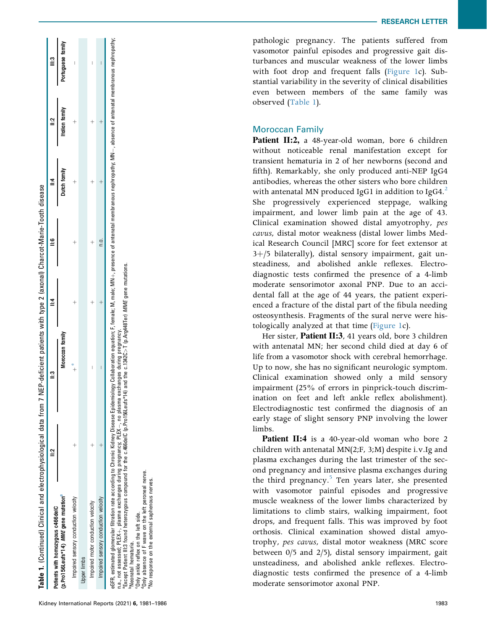| Patients with homozygous c466delC                                                                                                                                                                                                                                                                              |                            |  |              |                |                   |
|----------------------------------------------------------------------------------------------------------------------------------------------------------------------------------------------------------------------------------------------------------------------------------------------------------------|----------------------------|--|--------------|----------------|-------------------|
| (p.Pro156Leufs*14) MME gene mutation"                                                                                                                                                                                                                                                                          | Moroccan family            |  | Dutch family | Italian family | Portuguese family |
| Impaired sensory conduction velocity                                                                                                                                                                                                                                                                           |                            |  |              |                |                   |
| <b>Upper limbs</b>                                                                                                                                                                                                                                                                                             |                            |  |              |                |                   |
| Impaired motor conduction velocity                                                                                                                                                                                                                                                                             |                            |  |              |                |                   |
| Impaired sensory conduction velocity                                                                                                                                                                                                                                                                           |                            |  |              |                |                   |
| eGFR, estimated glomerular filtration rate according to Chronic Kidney Disease Epidemiology Collaboration equation; F, female; M, male; MN+, presence of antenatal membranous nephropathy; MN-, absence of antenatal membranou<br>n a not assessed: PIEY – niasma evobanges during pregnancy: PIEY – no piasma | avehangee during prognancy |  |              |                |                   |

Table 1. (Continued) Clinical and electrophysiological data from 7 NEP-deficient patients with type 2 (axonal) Charcot-Marie-Tooth disease

Table 1. (Continued) Clinical and electrophysiological data from 7 NEP-deficient patients with type 2 (axonal) Charcot-Marie-Tooth disease

.a., not assessed; r-LEA+, plasma excinanges ouring pregnancy; r-LEA+, no plasma exchanges ouring pregnancy.<br>Except Patient III:3 found heterozygous compound for the c.466delC (p.Pro156Leufs\*14) and the c.1342C>T (p.Arg44 , no plasma exchanges during pregnancy. n.a., not assessed; PLEX $+$ , plasma exchanges during pregnancy; PLEX $-$ 

aExcept Patient III:3 found heterozygous compound for the c.466delC (p.Pro156Leufs\*14) and the c.1342C>T (p.Arg448Ter) MME gene mutations.

bNeonatal hematuria.

cOnly ankle reflex on the left side.

donly absence of F wave on the left peroneal nerve.

'Neonatal hematuria.<br>'Only ankle reflex on the left side.<br>'Only absence of F wave on the left peroneal nerve.<br>'No response on the external saphenous nerves. eNo response on the external saphenous nerves.

pathologic pregnancy. The patients suffered from vasomotor painful episodes and progressive gait disturbances and muscular weakness of the lower limbs with foot drop and frequent falls (Figure 1c). Substantial variability in the severity of clinical disabilities even between members of the same family was observed (Table 1).

## Moroccan Family

Patient II:2, a 48-year-old woman, bore 6 children without noticeable renal manifestation except for transient hematuria in 2 of her newborns (second and fifth). Remarkably, she only produced anti-NEP IgG4 antibodies, whereas the other sisters who bore children with antenatal MN produced IgG1 in addition to IgG4. $^2$ She progressively experienced steppage, walking impairment, and lower limb pain at the age of 43. Clinical examination showed distal amyotrophy, pes cavus, distal motor weakness (distal lower limbs Medical Research Council [MRC] score for feet extensor at  $3+j5$  bilaterally), distal sensory impairment, gait unsteadiness, and abolished ankle reflexes. Electrodiagnostic tests confirmed the presence of a 4-limb moderate sensorimotor axonal PNP. Due to an accidental fall at the age of 44 years, the patient experienced a fracture of the distal part of the fibula needing osteosynthesis. Fragments of the sural nerve were histologically analyzed at that time (Figure 1c).

Her sister, Patient II:3, 41 years old, bore 3 children with antenatal MN; her second child died at day 6 of life from a vasomotor shock with cerebral hemorrhage. Up to now, she has no signi ficant neurologic symptom. Clinical examination showed only a mild sensory impairment (25% of errors in pinprick-touch discrimination on feet and left ankle reflex abolishment). Electrodiagnostic test con firmed the diagnosis of an early stage of slight sensory PNP involving the lower limbs.

Patient II:4 is a 40-year-old woman who bore 2 children with antenatal MN(2;F, 3;M) despite i.v.Ig and plasma exchanges during the last trimester of the second pregnancy and intensive plasma exchanges during the third pregnancy. <sup>5</sup> Ten years later, she presented with vasomotor painful episodes and progressive muscle weakness of the lower limbs characterized by limitations to climb stairs, walking impairment, foot drops, and frequent falls. This was improved by foot orthosis. Clinical examination showed distal amyotrophy, pes cavus, distal motor weakness (MRC score between 0/5 and 2/5), distal sensory impairment, gait unsteadiness, and abolished ankle re flexes. Electrodiagnostic tests confirmed the presence of a 4-limb moderate sensorimotor axonal PNP.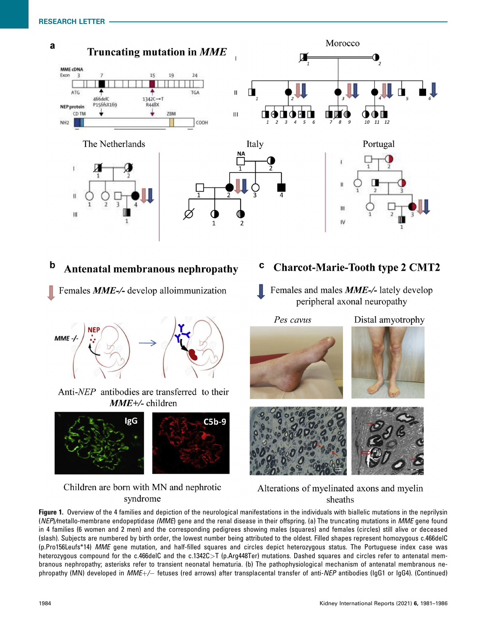

#### $\mathbf b$ **Antenatal membranous nephropathy**

Females MME-/- develop alloimmunization



Anti-*NEP* antibodies are transferred to their  $MME +$ -children



# Children are born with MN and nephrotic syndrome

- **Charcot-Marie-Tooth type 2 CMT2** C
- Females and males **MME-/-** lately develop peripheral axonal neuropathy

Pes cavus Distal amyotrophy





# Alterations of myelinated axons and myelin sheaths

Figure 1. Overview of the 4 families and depiction of the neurological manifestations in the individuals with biallelic mutations in the neprilysin (NEP)/metallo-membrane endopeptidase (MME) gene and the renal disease in their offspring. (a) The truncating mutations in MME gene found in 4 families (6 women and 2 men) and the corresponding pedigrees showing males (squares) and females (circles) still alive or deceased (slash). Subjects are numbered by birth order, the lowest number being attributed to the oldest. Filled shapes represent homozygous c.466delC (p.Pro156Leufs\*14) MME gene mutation, and half-filled squares and circles depict heterozygous status. The Portuguese index case was heterozygous compound for the c.466delC and the c.1342C>T (p.Arg448Ter) mutations. Dashed squares and circles refer to antenatal membranous nephropathy; asterisks refer to transient neonatal hematuria. (b) The pathophysiological mechanism of antenatal membranous nephropathy (MN) developed in *MME+/—* fetuses (red arrows) after transplacental transfer of anti-*NEP* antibodies (IgG1 or IgG4). (Continued)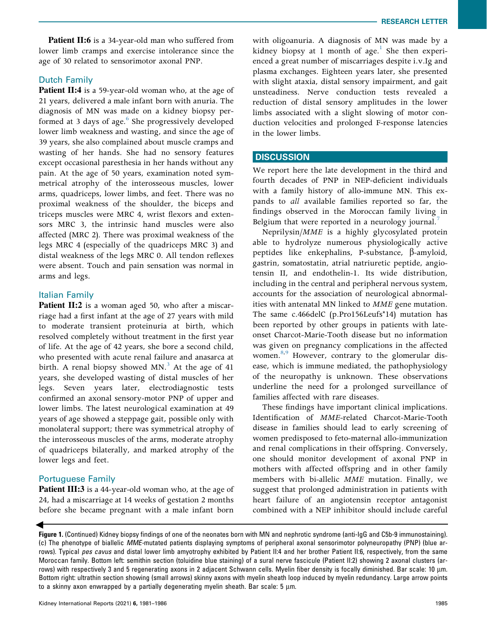RESEARCH LETTER

Patient II:6 is a 34-year-old man who suffered from lower limb cramps and exercise intolerance since the age of 30 related to sensorimotor axonal PNP.

## Dutch Family

Patient II:4 is a 59-year-old woman who, at the age of 21 years, delivered a male infant born with anuria. The diagnosis of MN was made on a kidney biopsy performed at 3 days of age.<sup>6</sup> She progressively developed lower limb weakness and wasting, and since the age of 39 years, she also complained about muscle cramps and wasting of her hands. She had no sensory features except occasional paresthesia in her hands without any pain. At the age of 50 years, examination noted symmetrical atrophy of the interosseous muscles, lower arms, quadriceps, lower limbs, and feet. There was no proximal weakness of the shoulder, the biceps and triceps muscles were MRC 4, wrist flexors and extensors MRC 3, the intrinsic hand muscles were also affected (MRC 2). There was proximal weakness of the legs MRC 4 (especially of the quadriceps MRC 3) and distal weakness of the legs MRC 0. All tendon reflexes were absent. Touch and pain sensation was normal in arms and legs.

## Italian Family

**Patient II:2** is a woman aged 50, who after a miscarriage had a first infant at the age of 27 years with mild to moderate transient proteinuria at birth, which resolved completely without treatment in the first year of life. At the age of 42 years, she bore a second child, who presented with acute renal failure and anasarca at birth. A renal biopsy showed  $MN<sup>3</sup>$  At the age of 41 years, she developed wasting of distal muscles of her legs. Seven years later, electrodiagnostic tests confirmed an axonal sensory-motor PNP of upper and lower limbs. The latest neurological examination at 49 years of age showed a steppage gait, possible only with monolateral support; there was symmetrical atrophy of the interosseous muscles of the arms, moderate atrophy of quadriceps bilaterally, and marked atrophy of the lower legs and feet.

# Portuguese Family

Patient III:3 is a 44-year-old woman who, at the age of 24, had a miscarriage at 14 weeks of gestation 2 months before she became pregnant with a male infant born

with oligoanuria. A diagnosis of MN was made by a kidney biopsy at 1 month of age.<sup>1</sup> She then experienced a great number of miscarriages despite i.v.Ig and plasma exchanges. Eighteen years later, she presented with slight ataxia, distal sensory impairment, and gait unsteadiness. Nerve conduction tests revealed a reduction of distal sensory amplitudes in the lower limbs associated with a slight slowing of motor conduction velocities and prolonged F-response latencies in the lower limbs.

## **DISCUSSION**

We report here the late development in the third and fourth decades of PNP in NEP-deficient individuals with a family history of allo-immune MN. This expands to all available families reported so far, the findings observed in the Moroccan family living in Belgium that were reported in a neurology journal.<sup>7</sup>

Neprilysin/MME is a highly glycosylated protein able to hydrolyze numerous physiologically active peptides like enkephalins, P-substance,  $\beta$ -amyloid, gastrin, somatostatin, atrial natriuretic peptide, angiotensin II, and endothelin-1. Its wide distribution, including in the central and peripheral nervous system, accounts for the association of neurological abnormalities with antenatal MN linked to MME gene mutation. The same c.466delC (p.Pro156Leufs\*14) mutation has been reported by other groups in patients with lateonset Charcot-Marie-Tooth disease but no information was given on pregnancy complications in the affected women.<sup>8,9</sup> However, contrary to the glomerular disease, which is immune mediated, the pathophysiology of the neuropathy is unknown. These observations underline the need for a prolonged surveillance of families affected with rare diseases.

These findings have important clinical implications. Identification of MME-related Charcot-Marie-Tooth disease in families should lead to early screening of women predisposed to feto-maternal allo-immunization and renal complications in their offspring. Conversely, one should monitor development of axonal PNP in mothers with affected offspring and in other family members with bi-allelic MME mutation. Finally, we suggest that prolonged administration in patients with heart failure of an angiotensin receptor antagonist combined with a NEP inhibitor should include careful

 $\blacktriangleleft$ Figure 1. (Continued) Kidney biopsy findings of one of the neonates born with MN and nephrotic syndrome (anti-IgG and C5b-9 immunostaining). (c) The phenotype of biallelic MME-mutated patients displaying symptoms of peripheral axonal sensorimotor polyneuropathy (PNP) (blue arrows). Typical pes cavus and distal lower limb amyotrophy exhibited by Patient II:4 and her brother Patient II:6, respectively, from the same Moroccan family. Bottom left: semithin section (toluidine blue staining) of a sural nerve fascicule (Patient II:2) showing 2 axonal clusters (arrows) with respectively 3 and 5 regenerating axons in 2 adjacent Schwann cells. Myelin fiber density is focally diminished. Bar scale: 10 µm. Bottom right: ultrathin section showing (small arrows) skinny axons with myelin sheath loop induced by myelin redundancy. Large arrow points to a skinny axon enwrapped by a partially degenerating myelin sheath. Bar scale:  $5 \mu m$ .